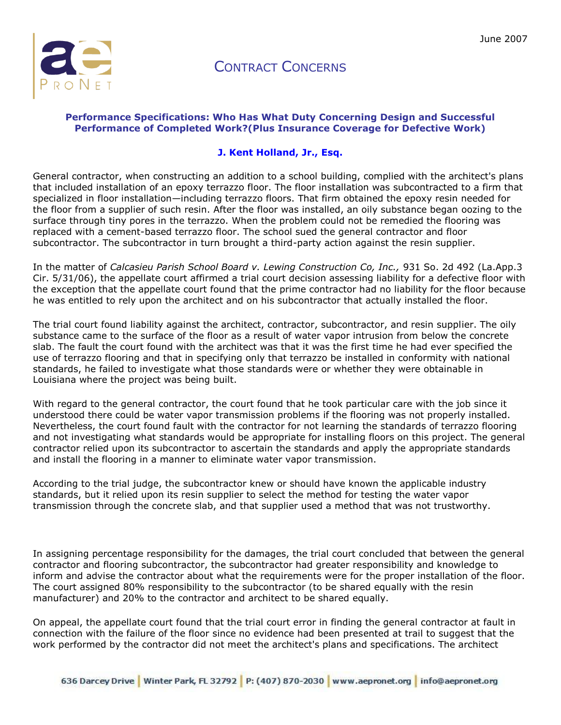

# CONTRACT CONCERNS

#### **Performance Specifications: Who Has What Duty Concerning Design and Successful Performance of Completed Work?(Plus Insurance Coverage for Defective Work)**

### **J. Kent Holland, Jr., Esq.**

General contractor, when constructing an addition to a school building, complied with the architect's plans that included installation of an epoxy terrazzo floor. The floor installation was subcontracted to a firm that specialized in floor installation—including terrazzo floors. That firm obtained the epoxy resin needed for the floor from a supplier of such resin. After the floor was installed, an oily substance began oozing to the surface through tiny pores in the terrazzo. When the problem could not be remedied the flooring was replaced with a cement-based terrazzo floor. The school sued the general contractor and floor subcontractor. The subcontractor in turn brought a third-party action against the resin supplier.

In the matter of *Calcasieu Parish School Board v. Lewing Construction Co, Inc.,* 931 So. 2d 492 (La.App.3 Cir. 5/31/06), the appellate court affirmed a trial court decision assessing liability for a defective floor with the exception that the appellate court found that the prime contractor had no liability for the floor because he was entitled to rely upon the architect and on his subcontractor that actually installed the floor.

The trial court found liability against the architect, contractor, subcontractor, and resin supplier. The oily substance came to the surface of the floor as a result of water vapor intrusion from below the concrete slab. The fault the court found with the architect was that it was the first time he had ever specified the use of terrazzo flooring and that in specifying only that terrazzo be installed in conformity with national standards, he failed to investigate what those standards were or whether they were obtainable in Louisiana where the project was being built.

With regard to the general contractor, the court found that he took particular care with the job since it understood there could be water vapor transmission problems if the flooring was not properly installed. Nevertheless, the court found fault with the contractor for not learning the standards of terrazzo flooring and not investigating what standards would be appropriate for installing floors on this project. The general contractor relied upon its subcontractor to ascertain the standards and apply the appropriate standards and install the flooring in a manner to eliminate water vapor transmission.

According to the trial judge, the subcontractor knew or should have known the applicable industry standards, but it relied upon its resin supplier to select the method for testing the water vapor transmission through the concrete slab, and that supplier used a method that was not trustworthy.

In assigning percentage responsibility for the damages, the trial court concluded that between the general contractor and flooring subcontractor, the subcontractor had greater responsibility and knowledge to inform and advise the contractor about what the requirements were for the proper installation of the floor. The court assigned 80% responsibility to the subcontractor (to be shared equally with the resin manufacturer) and 20% to the contractor and architect to be shared equally.

On appeal, the appellate court found that the trial court error in finding the general contractor at fault in connection with the failure of the floor since no evidence had been presented at trail to suggest that the work performed by the contractor did not meet the architect's plans and specifications. The architect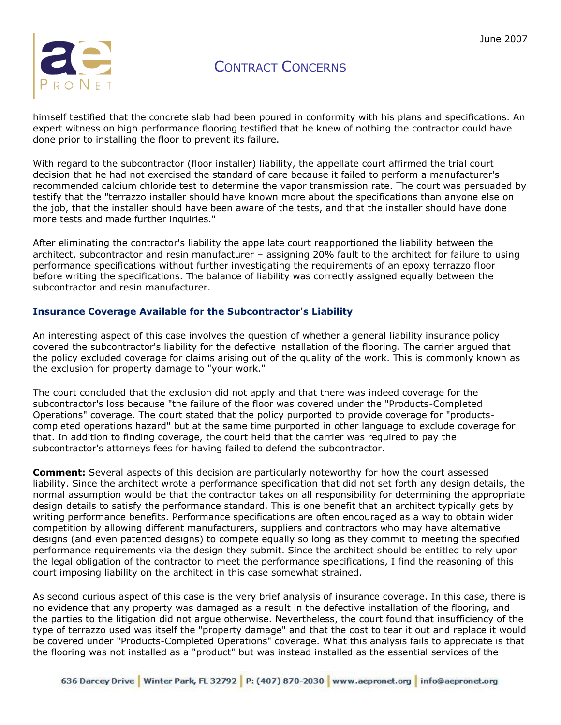

# CONTRACT CONCERNS

himself testified that the concrete slab had been poured in conformity with his plans and specifications. An expert witness on high performance flooring testified that he knew of nothing the contractor could have done prior to installing the floor to prevent its failure.

With regard to the subcontractor (floor installer) liability, the appellate court affirmed the trial court decision that he had not exercised the standard of care because it failed to perform a manufacturer's recommended calcium chloride test to determine the vapor transmission rate. The court was persuaded by testify that the "terrazzo installer should have known more about the specifications than anyone else on the job, that the installer should have been aware of the tests, and that the installer should have done more tests and made further inquiries."

After eliminating the contractor's liability the appellate court reapportioned the liability between the architect, subcontractor and resin manufacturer – assigning 20% fault to the architect for failure to using performance specifications without further investigating the requirements of an epoxy terrazzo floor before writing the specifications. The balance of liability was correctly assigned equally between the subcontractor and resin manufacturer.

### **Insurance Coverage Available for the Subcontractor's Liability**

An interesting aspect of this case involves the question of whether a general liability insurance policy covered the subcontractor's liability for the defective installation of the flooring. The carrier argued that the policy excluded coverage for claims arising out of the quality of the work. This is commonly known as the exclusion for property damage to "your work."

The court concluded that the exclusion did not apply and that there was indeed coverage for the subcontractor's loss because "the failure of the floor was covered under the "Products-Completed Operations" coverage. The court stated that the policy purported to provide coverage for "productscompleted operations hazard" but at the same time purported in other language to exclude coverage for that. In addition to finding coverage, the court held that the carrier was required to pay the subcontractor's attorneys fees for having failed to defend the subcontractor.

**Comment:** Several aspects of this decision are particularly noteworthy for how the court assessed liability. Since the architect wrote a performance specification that did not set forth any design details, the normal assumption would be that the contractor takes on all responsibility for determining the appropriate design details to satisfy the performance standard. This is one benefit that an architect typically gets by writing performance benefits. Performance specifications are often encouraged as a way to obtain wider competition by allowing different manufacturers, suppliers and contractors who may have alternative designs (and even patented designs) to compete equally so long as they commit to meeting the specified performance requirements via the design they submit. Since the architect should be entitled to rely upon the legal obligation of the contractor to meet the performance specifications, I find the reasoning of this court imposing liability on the architect in this case somewhat strained.

As second curious aspect of this case is the very brief analysis of insurance coverage. In this case, there is no evidence that any property was damaged as a result in the defective installation of the flooring, and the parties to the litigation did not argue otherwise. Nevertheless, the court found that insufficiency of the type of terrazzo used was itself the "property damage" and that the cost to tear it out and replace it would be covered under "Products-Completed Operations" coverage. What this analysis fails to appreciate is that the flooring was not installed as a "product" but was instead installed as the essential services of the